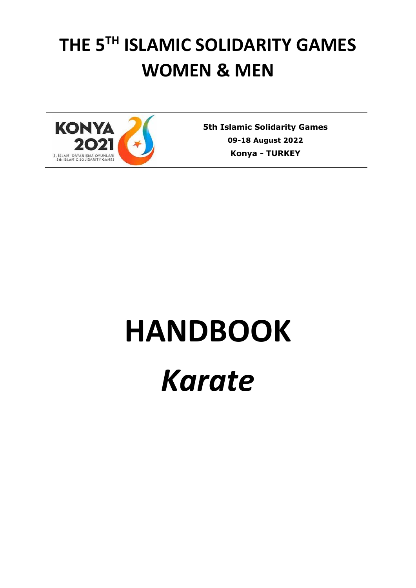# **THE 5TH ISLAMIC SOLIDARITY GAMES WOMEN & MEN**



**5th Islamic Solidarity Games 09-18 August 2022 Konya** *-* **TURKEY**

# **HANDBOOK**

# *Karate*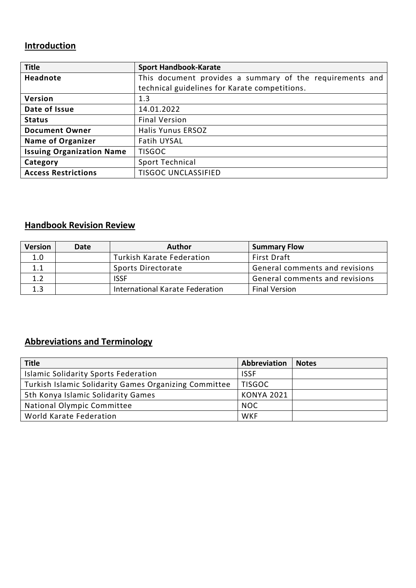## **Introduction**

| <b>Title</b>                     | <b>Sport Handbook-Karate</b>                             |  |  |
|----------------------------------|----------------------------------------------------------|--|--|
| <b>Headnote</b>                  | This document provides a summary of the requirements and |  |  |
|                                  | technical guidelines for Karate competitions.            |  |  |
| Version                          | 1.3                                                      |  |  |
| Date of Issue                    | 14.01.2022                                               |  |  |
| <b>Status</b>                    | <b>Final Version</b>                                     |  |  |
| <b>Document Owner</b>            | <b>Halis Yunus ERSOZ</b>                                 |  |  |
| <b>Name of Organizer</b>         | <b>Fatih UYSAL</b>                                       |  |  |
| <b>Issuing Organization Name</b> | <b>TISGOC</b>                                            |  |  |
| Category                         | Sport Technical                                          |  |  |
| <b>Access Restrictions</b>       | <b>TISGOC UNCLASSIFIED</b>                               |  |  |

### **Handbook Revision Review**

| <b>Version</b> | Date | <b>Author</b>                   | <b>Summary Flow</b>            |
|----------------|------|---------------------------------|--------------------------------|
| 1.0            |      | Turkish Karate Federation       | First Draft                    |
| 1.1            |      | Sports Directorate              | General comments and revisions |
| 1.2            |      | <b>ISSF</b>                     | General comments and revisions |
| 1.3            |      | International Karate Federation | <b>Final Version</b>           |

## **Abbreviations and Terminology**

| <b>Title</b>                                          | Abbreviation      | <b>Notes</b> |
|-------------------------------------------------------|-------------------|--------------|
| <b>Islamic Solidarity Sports Federation</b>           | <b>ISSF</b>       |              |
| Turkish Islamic Solidarity Games Organizing Committee | <b>TISGOC</b>     |              |
| 5th Konya Islamic Solidarity Games                    | <b>KONYA 2021</b> |              |
| National Olympic Committee                            | <b>NOC</b>        |              |
| World Karate Federation                               | <b>WKF</b>        |              |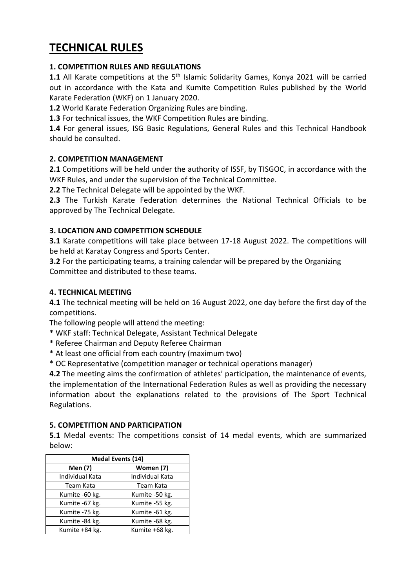# **TECHNICAL RULES**

#### **1. COMPETITION RULES AND REGULATIONS**

1.1 All Karate competitions at the 5<sup>th</sup> Islamic Solidarity Games, Konya 2021 will be carried out in accordance with the Kata and Kumite Competition Rules published by the World Karate Federation (WKF) on 1 January 2020.

**1.2** World Karate Federation Organizing Rules are binding.

**1.3** For technical issues, the WKF Competition Rules are binding.

**1.4** For general issues, ISG Basic Regulations, General Rules and this Technical Handbook should be consulted.

#### **2. COMPETITION MANAGEMENT**

**2.1** Competitions will be held under the authority of ISSF, by TISGOC, in accordance with the WKF Rules, and under the supervision of the Technical Committee.

**2.2** The Technical Delegate will be appointed by the WKF.

**2.3** The Turkish Karate Federation determines the National Technical Officials to be approved by The Technical Delegate.

#### **3. LOCATION AND COMPETITION SCHEDULE**

**3.1** Karate competitions will take place between 17-18 August 2022. The competitions will be held at Karatay Congress and Sports Center.

**3.2** For the participating teams, a training calendar will be prepared by the Organizing Committee and distributed to these teams.

#### **4. TECHNICAL MEETING**

**4.1** The technical meeting will be held on 16 August 2022, one day before the first day of the competitions.

The following people will attend the meeting:

- \* WKF staff: Technical Delegate, Assistant Technical Delegate
- \* Referee Chairman and Deputy Referee Chairman
- \* At least one official from each country (maximum two)
- \* OC Representative (competition manager or technical operations manager)

**4.2** The meeting aims the confirmation of athletes' participation, the maintenance of events, the implementation of the International Federation Rules as well as providing the necessary information about the explanations related to the provisions of The Sport Technical Regulations.

#### **5. COMPETITION AND PARTICIPATION**

**5.1** Medal events: The competitions consist of 14 medal events, which are summarized below:

| <b>Medal Events (14)</b> |                 |  |  |
|--------------------------|-----------------|--|--|
| Men (7)                  | Women (7)       |  |  |
| Individual Kata          | Individual Kata |  |  |
| Team Kata                | Team Kata       |  |  |
| Kumite -60 kg.           | Kumite -50 kg.  |  |  |
| Kumite -67 kg.           | Kumite -55 kg.  |  |  |
| Kumite -75 kg.           | Kumite -61 kg.  |  |  |
| Kumite -84 kg.           | Kumite -68 kg.  |  |  |
| Kumite +84 kg.           | Kumite +68 kg.  |  |  |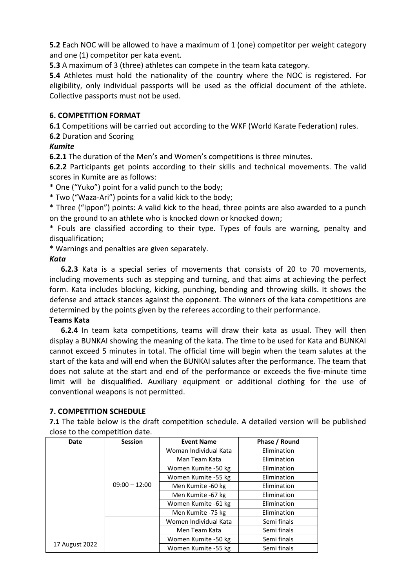**5.2** Each NOC will be allowed to have a maximum of 1 (one) competitor per weight category and one (1) competitor per kata event.

**5.3** A maximum of 3 (three) athletes can compete in the team kata category.

**5.4** Athletes must hold the nationality of the country where the NOC is registered. For eligibility, only individual passports will be used as the official document of the athlete. Collective passports must not be used.

#### **6. COMPETITION FORMAT**

**6.1** Competitions will be carried out according to the WKF (World Karate Federation) rules. **6.2** Duration and Scoring

#### *Kumite*

**6.2.1** The duration of the Men's and Women's competitions is three minutes.

**6.2.2** Participants get points according to their skills and technical movements. The valid scores in Kumite are as follows:

\* One ("Yuko") point for a valid punch to the body;

\* Two ("Waza-Ari") points for a valid kick to the body;

\* Three ("Ippon") points: A valid kick to the head, three points are also awarded to a punch on the ground to an athlete who is knocked down or knocked down;

\* Fouls are classified according to their type. Types of fouls are warning, penalty and disqualification;

\* Warnings and penalties are given separately.

#### *Kata*

 **6.2.3** Kata is a special series of movements that consists of 20 to 70 movements, including movements such as stepping and turning, and that aims at achieving the perfect form. Kata includes blocking, kicking, punching, bending and throwing skills. It shows the defense and attack stances against the opponent. The winners of the kata competitions are determined by the points given by the referees according to their performance.

#### **Teams Kata**

 **6.2.4** In team kata competitions, teams will draw their kata as usual. They will then display a BUNKAI showing the meaning of the kata. The time to be used for Kata and BUNKAI cannot exceed 5 minutes in total. The official time will begin when the team salutes at the start of the kata and will end when the BUNKAI salutes after the performance. The team that does not salute at the start and end of the performance or exceeds the five-minute time limit will be disqualified. Auxiliary equipment or additional clothing for the use of conventional weapons is not permitted.

#### **7. COMPETITION SCHEDULE**

**7.1** The table below is the draft competition schedule. A detailed version will be published close to the competition date.

| Date           | <b>Session</b>  | <b>Event Name</b>     | Phase / Round |
|----------------|-----------------|-----------------------|---------------|
|                | $09:00 - 12:00$ | Woman Individual Kata | Elimination   |
|                |                 | Man Team Kata         | Elimination   |
|                |                 | Women Kumite -50 kg   | Elimination   |
|                |                 | Women Kumite -55 kg   | Elimination   |
|                |                 | Men Kumite -60 kg     | Elimination   |
|                |                 | Men Kumite -67 kg     | Elimination   |
|                |                 | Women Kumite -61 kg   | Elimination   |
|                |                 | Men Kumite -75 kg     | Elimination   |
|                |                 | Women Individual Kata | Semi finals   |
|                |                 | Men Team Kata         | Semi finals   |
|                |                 | Women Kumite -50 kg   | Semi finals   |
| 17 August 2022 |                 | Women Kumite -55 kg   | Semi finals   |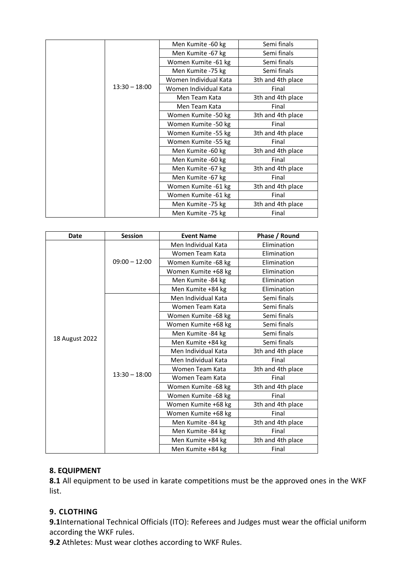|                 | Men Kumite -60 kg     | Semi finals       |
|-----------------|-----------------------|-------------------|
|                 | Men Kumite -67 kg     | Semi finals       |
|                 | Women Kumite -61 kg   | Semi finals       |
|                 | Men Kumite -75 kg     | Semi finals       |
|                 | Women Individual Kata | 3th and 4th place |
| $13:30 - 18:00$ | Women Individual Kata | Final             |
|                 | Men Team Kata         | 3th and 4th place |
|                 | Men Team Kata         | Final             |
|                 | Women Kumite -50 kg   | 3th and 4th place |
|                 | Women Kumite -50 kg   | Final             |
|                 | Women Kumite -55 kg   | 3th and 4th place |
|                 | Women Kumite -55 kg   | Final             |
|                 | Men Kumite -60 kg     | 3th and 4th place |
|                 | Men Kumite -60 kg     | Final             |
|                 | Men Kumite -67 kg     | 3th and 4th place |
|                 | Men Kumite -67 kg     | Final             |
|                 | Women Kumite -61 kg   | 3th and 4th place |
|                 | Women Kumite -61 kg   | Final             |
|                 | Men Kumite -75 kg     | 3th and 4th place |
|                 | Men Kumite -75 kg     | Final             |

| <b>Date</b>    | <b>Session</b>  | <b>Event Name</b>   | Phase / Round     |
|----------------|-----------------|---------------------|-------------------|
|                | $09:00 - 12:00$ | Men Individual Kata | Elimination       |
|                |                 | Women Team Kata     | Elimination       |
|                |                 | Women Kumite -68 kg | Elimination       |
|                |                 | Women Kumite +68 kg | Elimination       |
|                |                 | Men Kumite -84 kg   | Elimination       |
|                |                 | Men Kumite +84 kg   | Elimination       |
|                |                 | Men Individual Kata | Semi finals       |
|                |                 | Women Team Kata     | Semi finals       |
|                |                 | Women Kumite -68 kg | Semi finals       |
| 18 August 2022 | $13:30 - 18:00$ | Women Kumite +68 kg | Semi finals       |
|                |                 | Men Kumite -84 kg   | Semi finals       |
|                |                 | Men Kumite +84 kg   | Semi finals       |
|                |                 | Men Individual Kata | 3th and 4th place |
|                |                 | Men Individual Kata | Final             |
|                |                 | Women Team Kata     | 3th and 4th place |
|                |                 | Women Team Kata     | Final             |
|                |                 | Women Kumite -68 kg | 3th and 4th place |
|                |                 | Women Kumite -68 kg | Final             |
|                |                 | Women Kumite +68 kg | 3th and 4th place |
|                |                 | Women Kumite +68 kg | Final             |
|                |                 | Men Kumite -84 kg   | 3th and 4th place |
|                |                 | Men Kumite -84 kg   | Final             |
|                |                 | Men Kumite +84 kg   | 3th and 4th place |
|                |                 | Men Kumite +84 kg   | Final             |

#### **8. EQUIPMENT**

**8.1** All equipment to be used in karate competitions must be the approved ones in the WKF list.

#### **9. CLOTHING**

**9.1**International Technical Officials (ITO): Referees and Judges must wear the official uniform according the WKF rules.

**9.2** Athletes: Must wear clothes according to WKF Rules.